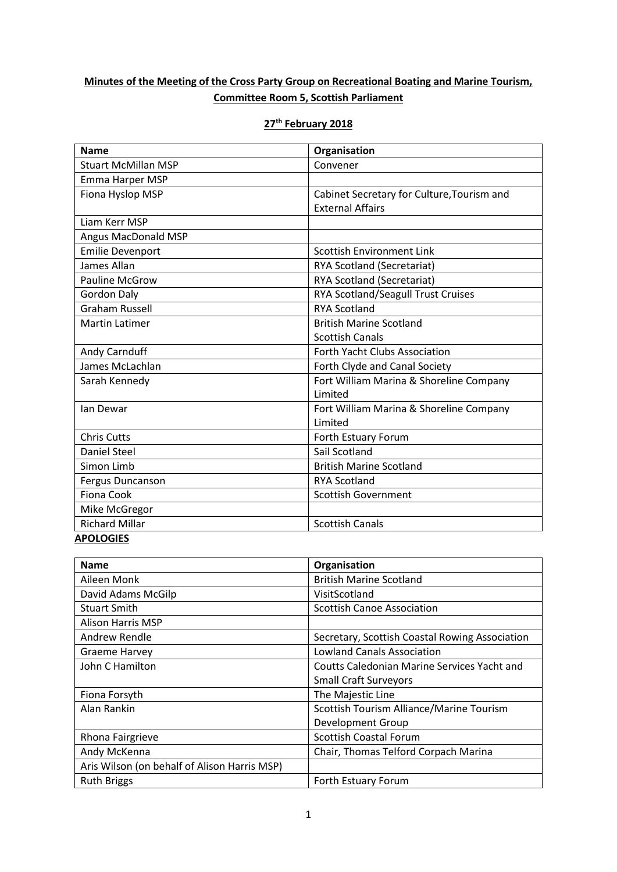## **Minutes of the Meeting of the Cross Party Group on Recreational Boating and Marine Tourism, Committee Room 5, Scottish Parliament**

|--|

| <b>Name</b>                | Organisation                               |  |
|----------------------------|--------------------------------------------|--|
| <b>Stuart McMillan MSP</b> | Convener                                   |  |
| Emma Harper MSP            |                                            |  |
| Fiona Hyslop MSP           | Cabinet Secretary for Culture, Tourism and |  |
|                            | <b>External Affairs</b>                    |  |
| Liam Kerr MSP              |                                            |  |
| Angus MacDonald MSP        |                                            |  |
| <b>Emilie Devenport</b>    | Scottish Environment Link                  |  |
| James Allan                | <b>RYA Scotland (Secretariat)</b>          |  |
| <b>Pauline McGrow</b>      | RYA Scotland (Secretariat)                 |  |
| <b>Gordon Daly</b>         | RYA Scotland/Seagull Trust Cruises         |  |
| <b>Graham Russell</b>      | <b>RYA Scotland</b>                        |  |
| <b>Martin Latimer</b>      | <b>British Marine Scotland</b>             |  |
|                            | <b>Scottish Canals</b>                     |  |
| Andy Carnduff              | <b>Forth Yacht Clubs Association</b>       |  |
| James McLachlan            | Forth Clyde and Canal Society              |  |
| Sarah Kennedy              | Fort William Marina & Shoreline Company    |  |
|                            | Limited                                    |  |
| lan Dewar                  | Fort William Marina & Shoreline Company    |  |
|                            | Limited                                    |  |
| <b>Chris Cutts</b>         | Forth Estuary Forum                        |  |
| <b>Daniel Steel</b>        | Sail Scotland                              |  |
| Simon Limb                 | <b>British Marine Scotland</b>             |  |
| <b>Fergus Duncanson</b>    | <b>RYA Scotland</b>                        |  |
| <b>Fiona Cook</b>          | <b>Scottish Government</b>                 |  |
| Mike McGregor              |                                            |  |
| <b>Richard Millar</b>      | <b>Scottish Canals</b>                     |  |
| <b>APOLOGIES</b>           |                                            |  |

| <b>Name</b>                                  | Organisation                                   |
|----------------------------------------------|------------------------------------------------|
| Aileen Monk                                  | <b>British Marine Scotland</b>                 |
| David Adams McGilp                           | VisitScotland                                  |
| <b>Stuart Smith</b>                          | <b>Scottish Canoe Association</b>              |
| <b>Alison Harris MSP</b>                     |                                                |
| Andrew Rendle                                | Secretary, Scottish Coastal Rowing Association |
| <b>Graeme Harvey</b>                         | <b>Lowland Canals Association</b>              |
| John C Hamilton                              | Coutts Caledonian Marine Services Yacht and    |
|                                              | <b>Small Craft Surveyors</b>                   |
| Fiona Forsyth                                | The Majestic Line                              |
| Alan Rankin                                  | Scottish Tourism Alliance/Marine Tourism       |
|                                              | Development Group                              |
| Rhona Fairgrieve                             | <b>Scottish Coastal Forum</b>                  |
| Andy McKenna                                 | Chair, Thomas Telford Corpach Marina           |
| Aris Wilson (on behalf of Alison Harris MSP) |                                                |
| <b>Ruth Briggs</b>                           | Forth Estuary Forum                            |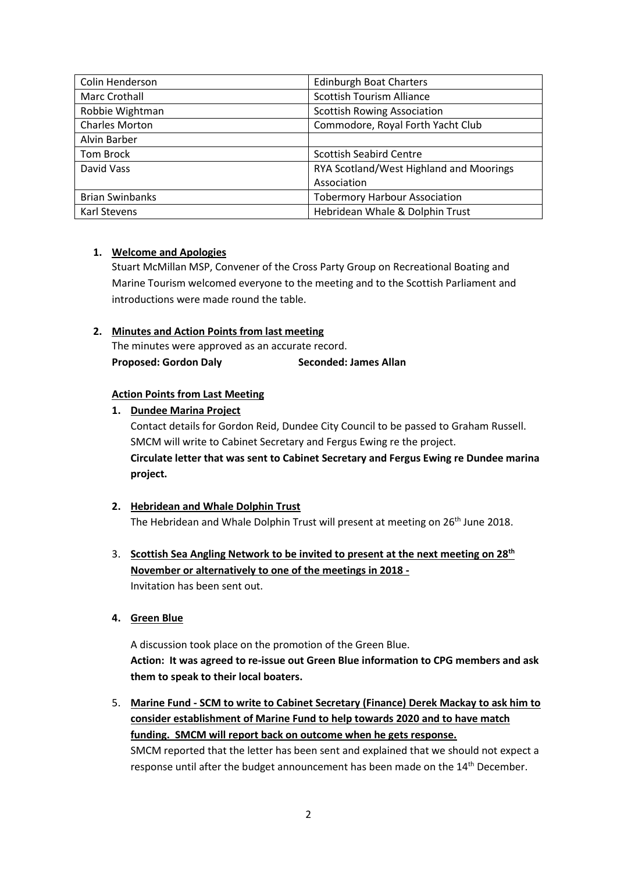| Colin Henderson        | <b>Edinburgh Boat Charters</b>          |  |
|------------------------|-----------------------------------------|--|
| Marc Crothall          | <b>Scottish Tourism Alliance</b>        |  |
| Robbie Wightman        | <b>Scottish Rowing Association</b>      |  |
| <b>Charles Morton</b>  | Commodore, Royal Forth Yacht Club       |  |
| Alvin Barber           |                                         |  |
| Tom Brock              | <b>Scottish Seabird Centre</b>          |  |
| David Vass             | RYA Scotland/West Highland and Moorings |  |
|                        | Association                             |  |
| <b>Brian Swinbanks</b> | <b>Tobermory Harbour Association</b>    |  |
| <b>Karl Stevens</b>    | Hebridean Whale & Dolphin Trust         |  |

## **1. Welcome and Apologies**

Stuart McMillan MSP, Convener of the Cross Party Group on Recreational Boating and Marine Tourism welcomed everyone to the meeting and to the Scottish Parliament and introductions were made round the table.

## **2. Minutes and Action Points from last meeting**

The minutes were approved as an accurate record. **Proposed: Gordon Daly Seconded: James Allan**

## **Action Points from Last Meeting**

**1. Dundee Marina Project**

Contact details for Gordon Reid, Dundee City Council to be passed to Graham Russell. SMCM will write to Cabinet Secretary and Fergus Ewing re the project.

**Circulate letter that was sent to Cabinet Secretary and Fergus Ewing re Dundee marina project.**

# **2. Hebridean and Whale Dolphin Trust**

The Hebridean and Whale Dolphin Trust will present at meeting on 26<sup>th</sup> June 2018.

- 3. **Scottish Sea Angling Network to be invited to present at the next meeting on 28th November or alternatively to one of the meetings in 2018 -** Invitation has been sent out.
- **4. Green Blue**

A discussion took place on the promotion of the Green Blue. **Action: It was agreed to re-issue out Green Blue information to CPG members and ask them to speak to their local boaters.** 

5. **Marine Fund - SCM to write to Cabinet Secretary (Finance) Derek Mackay to ask him to consider establishment of Marine Fund to help towards 2020 and to have match funding. SMCM will report back on outcome when he gets response.** SMCM reported that the letter has been sent and explained that we should not expect a response until after the budget announcement has been made on the 14<sup>th</sup> December.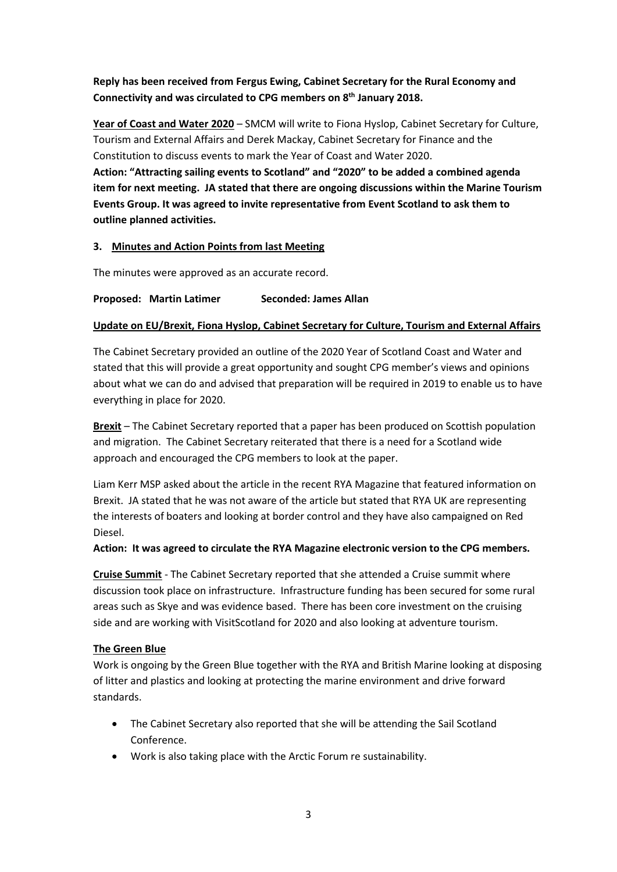## **Reply has been received from Fergus Ewing, Cabinet Secretary for the Rural Economy and Connectivity and was circulated to CPG members on 8 th January 2018.**

**Year of Coast and Water 2020** – SMCM will write to Fiona Hyslop, Cabinet Secretary for Culture, Tourism and External Affairs and Derek Mackay, Cabinet Secretary for Finance and the Constitution to discuss events to mark the Year of Coast and Water 2020. **Action: "Attracting sailing events to Scotland" and "2020" to be added a combined agenda item for next meeting. JA stated that there are ongoing discussions within the Marine Tourism Events Group. It was agreed to invite representative from Event Scotland to ask them to outline planned activities.**

## **3. Minutes and Action Points from last Meeting**

The minutes were approved as an accurate record.

## **Proposed: Martin Latimer Seconded: James Allan**

## **Update on EU/Brexit, Fiona Hyslop, Cabinet Secretary for Culture, Tourism and External Affairs**

The Cabinet Secretary provided an outline of the 2020 Year of Scotland Coast and Water and stated that this will provide a great opportunity and sought CPG member's views and opinions about what we can do and advised that preparation will be required in 2019 to enable us to have everything in place for 2020.

**Brexit** – The Cabinet Secretary reported that a paper has been produced on Scottish population and migration. The Cabinet Secretary reiterated that there is a need for a Scotland wide approach and encouraged the CPG members to look at the paper.

Liam Kerr MSP asked about the article in the recent RYA Magazine that featured information on Brexit. JA stated that he was not aware of the article but stated that RYA UK are representing the interests of boaters and looking at border control and they have also campaigned on Red Diesel.

## **Action: It was agreed to circulate the RYA Magazine electronic version to the CPG members.**

**Cruise Summit** - The Cabinet Secretary reported that she attended a Cruise summit where discussion took place on infrastructure. Infrastructure funding has been secured for some rural areas such as Skye and was evidence based. There has been core investment on the cruising side and are working with VisitScotland for 2020 and also looking at adventure tourism.

## **The Green Blue**

Work is ongoing by the Green Blue together with the RYA and British Marine looking at disposing of litter and plastics and looking at protecting the marine environment and drive forward standards.

- The Cabinet Secretary also reported that she will be attending the Sail Scotland Conference.
- Work is also taking place with the Arctic Forum re sustainability.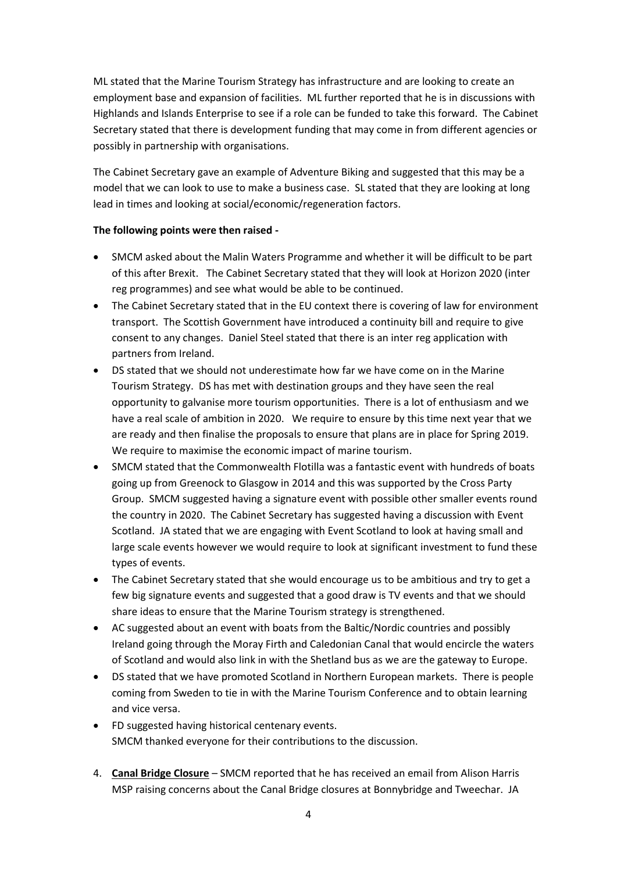ML stated that the Marine Tourism Strategy has infrastructure and are looking to create an employment base and expansion of facilities. ML further reported that he is in discussions with Highlands and Islands Enterprise to see if a role can be funded to take this forward. The Cabinet Secretary stated that there is development funding that may come in from different agencies or possibly in partnership with organisations.

The Cabinet Secretary gave an example of Adventure Biking and suggested that this may be a model that we can look to use to make a business case. SL stated that they are looking at long lead in times and looking at social/economic/regeneration factors.

## **The following points were then raised -**

- SMCM asked about the Malin Waters Programme and whether it will be difficult to be part of this after Brexit. The Cabinet Secretary stated that they will look at Horizon 2020 (inter reg programmes) and see what would be able to be continued.
- The Cabinet Secretary stated that in the EU context there is covering of law for environment transport. The Scottish Government have introduced a continuity bill and require to give consent to any changes. Daniel Steel stated that there is an inter reg application with partners from Ireland.
- DS stated that we should not underestimate how far we have come on in the Marine Tourism Strategy. DS has met with destination groups and they have seen the real opportunity to galvanise more tourism opportunities. There is a lot of enthusiasm and we have a real scale of ambition in 2020. We require to ensure by this time next year that we are ready and then finalise the proposals to ensure that plans are in place for Spring 2019. We require to maximise the economic impact of marine tourism.
- SMCM stated that the Commonwealth Flotilla was a fantastic event with hundreds of boats going up from Greenock to Glasgow in 2014 and this was supported by the Cross Party Group. SMCM suggested having a signature event with possible other smaller events round the country in 2020. The Cabinet Secretary has suggested having a discussion with Event Scotland. JA stated that we are engaging with Event Scotland to look at having small and large scale events however we would require to look at significant investment to fund these types of events.
- The Cabinet Secretary stated that she would encourage us to be ambitious and try to get a few big signature events and suggested that a good draw is TV events and that we should share ideas to ensure that the Marine Tourism strategy is strengthened.
- AC suggested about an event with boats from the Baltic/Nordic countries and possibly Ireland going through the Moray Firth and Caledonian Canal that would encircle the waters of Scotland and would also link in with the Shetland bus as we are the gateway to Europe.
- DS stated that we have promoted Scotland in Northern European markets. There is people coming from Sweden to tie in with the Marine Tourism Conference and to obtain learning and vice versa.
- FD suggested having historical centenary events. SMCM thanked everyone for their contributions to the discussion.
- 4. **Canal Bridge Closure** SMCM reported that he has received an email from Alison Harris MSP raising concerns about the Canal Bridge closures at Bonnybridge and Tweechar. JA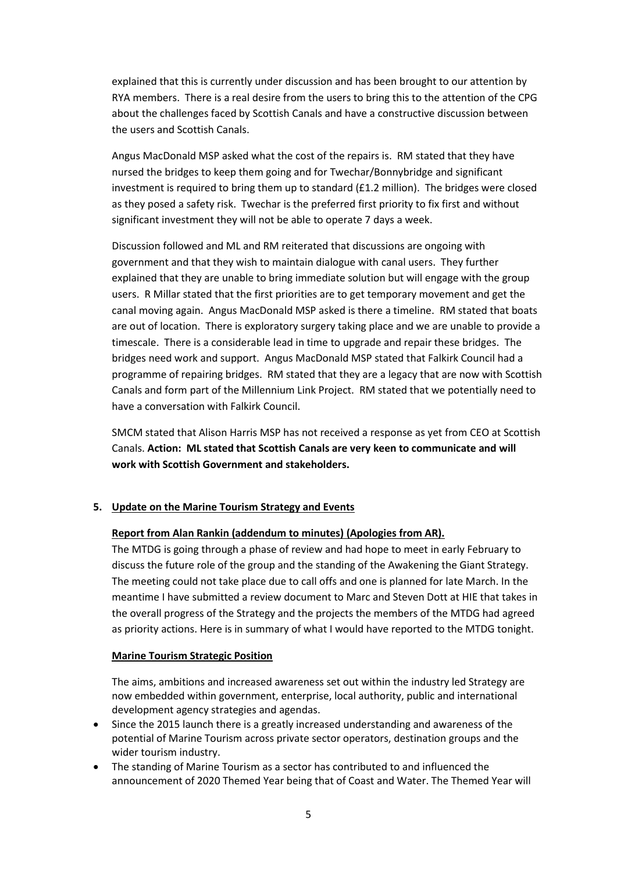explained that this is currently under discussion and has been brought to our attention by RYA members. There is a real desire from the users to bring this to the attention of the CPG about the challenges faced by Scottish Canals and have a constructive discussion between the users and Scottish Canals.

Angus MacDonald MSP asked what the cost of the repairs is. RM stated that they have nursed the bridges to keep them going and for Twechar/Bonnybridge and significant investment is required to bring them up to standard  $(f_1, 2 \text{ million})$ . The bridges were closed as they posed a safety risk. Twechar is the preferred first priority to fix first and without significant investment they will not be able to operate 7 days a week.

Discussion followed and ML and RM reiterated that discussions are ongoing with government and that they wish to maintain dialogue with canal users. They further explained that they are unable to bring immediate solution but will engage with the group users. R Millar stated that the first priorities are to get temporary movement and get the canal moving again. Angus MacDonald MSP asked is there a timeline. RM stated that boats are out of location. There is exploratory surgery taking place and we are unable to provide a timescale. There is a considerable lead in time to upgrade and repair these bridges. The bridges need work and support. Angus MacDonald MSP stated that Falkirk Council had a programme of repairing bridges. RM stated that they are a legacy that are now with Scottish Canals and form part of the Millennium Link Project. RM stated that we potentially need to have a conversation with Falkirk Council.

SMCM stated that Alison Harris MSP has not received a response as yet from CEO at Scottish Canals. **Action: ML stated that Scottish Canals are very keen to communicate and will work with Scottish Government and stakeholders.**

#### **5. Update on the Marine Tourism Strategy and Events**

#### **Report from Alan Rankin (addendum to minutes) (Apologies from AR).**

The MTDG is going through a phase of review and had hope to meet in early February to discuss the future role of the group and the standing of the Awakening the Giant Strategy. The meeting could not take place due to call offs and one is planned for late March. In the meantime I have submitted a review document to Marc and Steven Dott at HIE that takes in the overall progress of the Strategy and the projects the members of the MTDG had agreed as priority actions. Here is in summary of what I would have reported to the MTDG tonight.

#### **Marine Tourism Strategic Position**

The aims, ambitions and increased awareness set out within the industry led Strategy are now embedded within government, enterprise, local authority, public and international development agency strategies and agendas.

- Since the 2015 launch there is a greatly increased understanding and awareness of the potential of Marine Tourism across private sector operators, destination groups and the wider tourism industry.
- The standing of Marine Tourism as a sector has contributed to and influenced the announcement of 2020 Themed Year being that of Coast and Water. The Themed Year will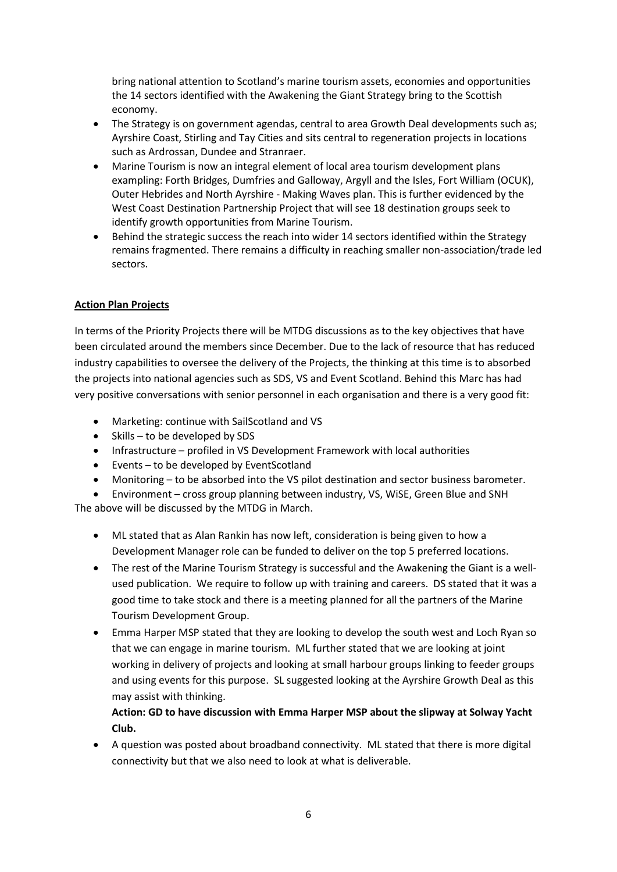bring national attention to Scotland's marine tourism assets, economies and opportunities the 14 sectors identified with the Awakening the Giant Strategy bring to the Scottish economy.

- The Strategy is on government agendas, central to area Growth Deal developments such as; Ayrshire Coast, Stirling and Tay Cities and sits central to regeneration projects in locations such as Ardrossan, Dundee and Stranraer.
- Marine Tourism is now an integral element of local area tourism development plans exampling: Forth Bridges, Dumfries and Galloway, Argyll and the Isles, Fort William (OCUK), Outer Hebrides and North Ayrshire - Making Waves plan. This is further evidenced by the West Coast Destination Partnership Project that will see 18 destination groups seek to identify growth opportunities from Marine Tourism.
- Behind the strategic success the reach into wider 14 sectors identified within the Strategy remains fragmented. There remains a difficulty in reaching smaller non-association/trade led sectors.

## **Action Plan Projects**

In terms of the Priority Projects there will be MTDG discussions as to the key objectives that have been circulated around the members since December. Due to the lack of resource that has reduced industry capabilities to oversee the delivery of the Projects, the thinking at this time is to absorbed the projects into national agencies such as SDS, VS and Event Scotland. Behind this Marc has had very positive conversations with senior personnel in each organisation and there is a very good fit:

- Marketing: continue with SailScotland and VS
- $\bullet$  Skills to be developed by SDS
- Infrastructure profiled in VS Development Framework with local authorities
- Events to be developed by EventScotland
- Monitoring to be absorbed into the VS pilot destination and sector business barometer.
- Environment cross group planning between industry, VS, WiSE, Green Blue and SNH The above will be discussed by the MTDG in March.
	- ML stated that as Alan Rankin has now left, consideration is being given to how a Development Manager role can be funded to deliver on the top 5 preferred locations.
	- The rest of the Marine Tourism Strategy is successful and the Awakening the Giant is a wellused publication. We require to follow up with training and careers. DS stated that it was a good time to take stock and there is a meeting planned for all the partners of the Marine Tourism Development Group.
	- Emma Harper MSP stated that they are looking to develop the south west and Loch Ryan so that we can engage in marine tourism. ML further stated that we are looking at joint working in delivery of projects and looking at small harbour groups linking to feeder groups and using events for this purpose. SL suggested looking at the Ayrshire Growth Deal as this may assist with thinking.

**Action: GD to have discussion with Emma Harper MSP about the slipway at Solway Yacht Club.**

 A question was posted about broadband connectivity. ML stated that there is more digital connectivity but that we also need to look at what is deliverable.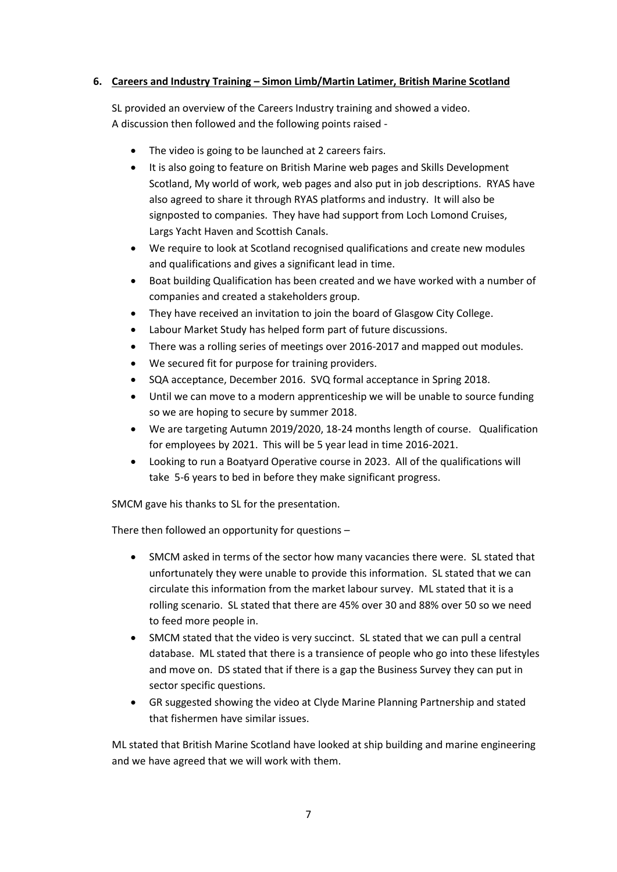## **6. Careers and Industry Training – Simon Limb/Martin Latimer, British Marine Scotland**

SL provided an overview of the Careers Industry training and showed a video. A discussion then followed and the following points raised -

- The video is going to be launched at 2 careers fairs.
- It is also going to feature on British Marine web pages and Skills Development Scotland, My world of work, web pages and also put in job descriptions. RYAS have also agreed to share it through RYAS platforms and industry. It will also be signposted to companies. They have had support from Loch Lomond Cruises, Largs Yacht Haven and Scottish Canals.
- We require to look at Scotland recognised qualifications and create new modules and qualifications and gives a significant lead in time.
- Boat building Qualification has been created and we have worked with a number of companies and created a stakeholders group.
- They have received an invitation to join the board of Glasgow City College.
- Labour Market Study has helped form part of future discussions.
- There was a rolling series of meetings over 2016-2017 and mapped out modules.
- We secured fit for purpose for training providers.
- SQA acceptance, December 2016. SVQ formal acceptance in Spring 2018.
- Until we can move to a modern apprenticeship we will be unable to source funding so we are hoping to secure by summer 2018.
- We are targeting Autumn 2019/2020, 18-24 months length of course. Qualification for employees by 2021. This will be 5 year lead in time 2016-2021.
- Looking to run a Boatyard Operative course in 2023. All of the qualifications will take 5-6 years to bed in before they make significant progress.

SMCM gave his thanks to SL for the presentation.

There then followed an opportunity for questions –

- SMCM asked in terms of the sector how many vacancies there were. SL stated that unfortunately they were unable to provide this information. SL stated that we can circulate this information from the market labour survey. ML stated that it is a rolling scenario. SL stated that there are 45% over 30 and 88% over 50 so we need to feed more people in.
- SMCM stated that the video is very succinct. SL stated that we can pull a central database. ML stated that there is a transience of people who go into these lifestyles and move on. DS stated that if there is a gap the Business Survey they can put in sector specific questions.
- GR suggested showing the video at Clyde Marine Planning Partnership and stated that fishermen have similar issues.

ML stated that British Marine Scotland have looked at ship building and marine engineering and we have agreed that we will work with them.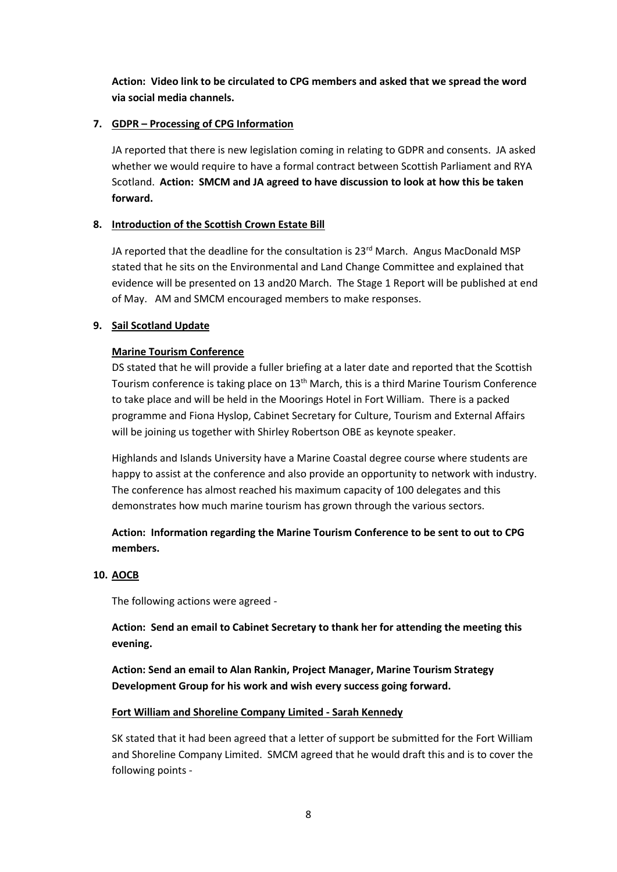**Action: Video link to be circulated to CPG members and asked that we spread the word via social media channels.**

## **7. GDPR – Processing of CPG Information**

JA reported that there is new legislation coming in relating to GDPR and consents. JA asked whether we would require to have a formal contract between Scottish Parliament and RYA Scotland. **Action: SMCM and JA agreed to have discussion to look at how this be taken forward.**

## **8. Introduction of the Scottish Crown Estate Bill**

JA reported that the deadline for the consultation is  $23<sup>rd</sup>$  March. Angus MacDonald MSP stated that he sits on the Environmental and Land Change Committee and explained that evidence will be presented on 13 and20 March. The Stage 1 Report will be published at end of May. AM and SMCM encouraged members to make responses.

## **9. Sail Scotland Update**

## **Marine Tourism Conference**

DS stated that he will provide a fuller briefing at a later date and reported that the Scottish Tourism conference is taking place on 13<sup>th</sup> March, this is a third Marine Tourism Conference to take place and will be held in the Moorings Hotel in Fort William. There is a packed programme and Fiona Hyslop, Cabinet Secretary for Culture, Tourism and External Affairs will be joining us together with Shirley Robertson OBE as keynote speaker.

Highlands and Islands University have a Marine Coastal degree course where students are happy to assist at the conference and also provide an opportunity to network with industry. The conference has almost reached his maximum capacity of 100 delegates and this demonstrates how much marine tourism has grown through the various sectors.

**Action: Information regarding the Marine Tourism Conference to be sent to out to CPG members.**

#### **10. AOCB**

The following actions were agreed -

**Action: Send an email to Cabinet Secretary to thank her for attending the meeting this evening.**

**Action: Send an email to Alan Rankin, Project Manager, Marine Tourism Strategy Development Group for his work and wish every success going forward.**

## **Fort William and Shoreline Company Limited - Sarah Kennedy**

SK stated that it had been agreed that a letter of support be submitted for the Fort William and Shoreline Company Limited. SMCM agreed that he would draft this and is to cover the following points -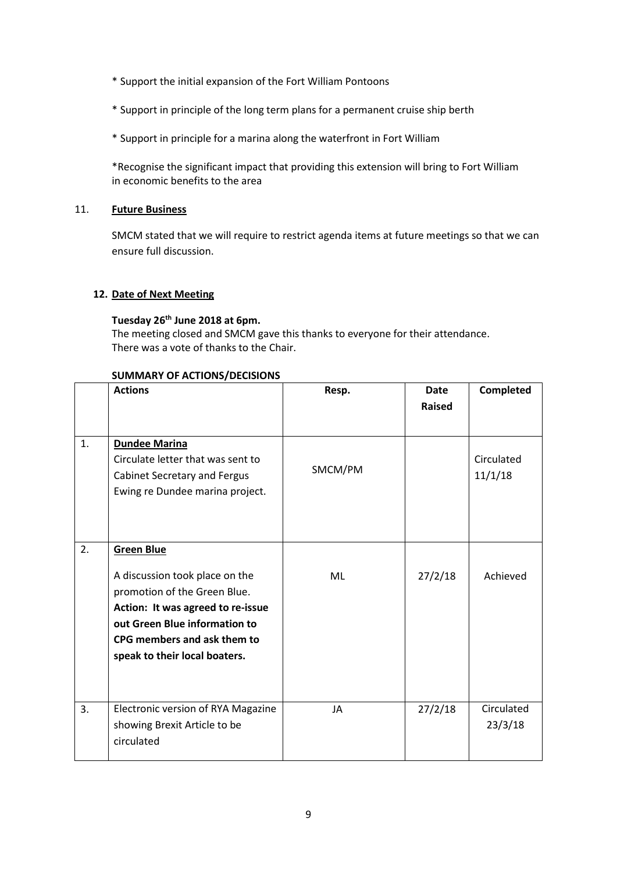- \* Support the initial expansion of the Fort William Pontoons
- \* Support in principle of the long term plans for a permanent cruise ship berth
- \* Support in principle for a marina along the waterfront in Fort William

\*Recognise the significant impact that providing this extension will bring to Fort William in economic benefits to the area

#### 11. **Future Business**

SMCM stated that we will require to restrict agenda items at future meetings so that we can ensure full discussion.

## **12. Date of Next Meeting**

## **Tuesday 26th June 2018 at 6pm.**

The meeting closed and SMCM gave this thanks to everyone for their attendance. There was a vote of thanks to the Chair.

#### **SUMMARY OF ACTIONS/DECISIONS**

|    | <b>Actions</b>                                                                                       | Resp.     | Date          | Completed             |
|----|------------------------------------------------------------------------------------------------------|-----------|---------------|-----------------------|
|    |                                                                                                      |           | <b>Raised</b> |                       |
| 1. | <b>Dundee Marina</b>                                                                                 |           |               |                       |
|    | Circulate letter that was sent to<br>Cabinet Secretary and Fergus<br>Ewing re Dundee marina project. | SMCM/PM   |               | Circulated<br>11/1/18 |
|    |                                                                                                      |           |               |                       |
| 2. | <b>Green Blue</b>                                                                                    |           |               |                       |
|    | A discussion took place on the<br>promotion of the Green Blue.                                       | ML        | 27/2/18       | Achieved              |
|    | Action: It was agreed to re-issue<br>out Green Blue information to                                   |           |               |                       |
|    | CPG members and ask them to                                                                          |           |               |                       |
|    | speak to their local boaters.                                                                        |           |               |                       |
| 3. | Electronic version of RYA Magazine<br>showing Brexit Article to be<br>circulated                     | <b>JA</b> | 27/2/18       | Circulated<br>23/3/18 |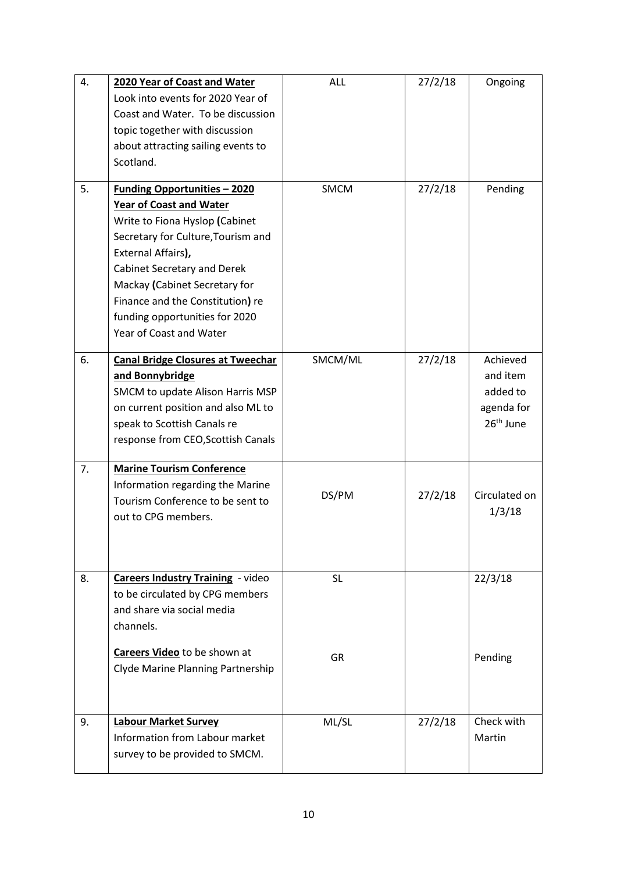| 4. | 2020 Year of Coast and Water             | <b>ALL</b>  | 27/2/18 | Ongoing               |
|----|------------------------------------------|-------------|---------|-----------------------|
|    | Look into events for 2020 Year of        |             |         |                       |
|    | Coast and Water. To be discussion        |             |         |                       |
|    | topic together with discussion           |             |         |                       |
|    | about attracting sailing events to       |             |         |                       |
|    | Scotland.                                |             |         |                       |
|    |                                          |             |         |                       |
| 5. | <b>Funding Opportunities - 2020</b>      | <b>SMCM</b> | 27/2/18 | Pending               |
|    | <b>Year of Coast and Water</b>           |             |         |                       |
|    | Write to Fiona Hyslop (Cabinet           |             |         |                       |
|    | Secretary for Culture, Tourism and       |             |         |                       |
|    | External Affairs),                       |             |         |                       |
|    | Cabinet Secretary and Derek              |             |         |                       |
|    | Mackay (Cabinet Secretary for            |             |         |                       |
|    | Finance and the Constitution) re         |             |         |                       |
|    | funding opportunities for 2020           |             |         |                       |
|    | Year of Coast and Water                  |             |         |                       |
| 6. | <b>Canal Bridge Closures at Tweechar</b> | SMCM/ML     | 27/2/18 | Achieved              |
|    | and Bonnybridge                          |             |         | and item              |
|    | SMCM to update Alison Harris MSP         |             |         | added to              |
|    | on current position and also ML to       |             |         | agenda for            |
|    | speak to Scottish Canals re              |             |         | 26 <sup>th</sup> June |
|    | response from CEO, Scottish Canals       |             |         |                       |
| 7. | <b>Marine Tourism Conference</b>         |             |         |                       |
|    | Information regarding the Marine         |             |         |                       |
|    | Tourism Conference to be sent to         | DS/PM       | 27/2/18 | Circulated on         |
|    | out to CPG members.                      |             |         | 1/3/18                |
|    |                                          |             |         |                       |
|    |                                          |             |         |                       |
|    |                                          |             |         |                       |
| 8. | <b>Careers Industry Training - video</b> | <b>SL</b>   |         | 22/3/18               |
|    | to be circulated by CPG members          |             |         |                       |
|    | and share via social media               |             |         |                       |
|    | channels.                                |             |         |                       |
|    | Careers Video to be shown at             | GR          |         | Pending               |
|    | Clyde Marine Planning Partnership        |             |         |                       |
|    |                                          |             |         |                       |
|    |                                          |             |         |                       |
| 9. | <b>Labour Market Survey</b>              | ML/SL       | 27/2/18 | Check with            |
|    | Information from Labour market           |             |         | Martin                |
|    | survey to be provided to SMCM.           |             |         |                       |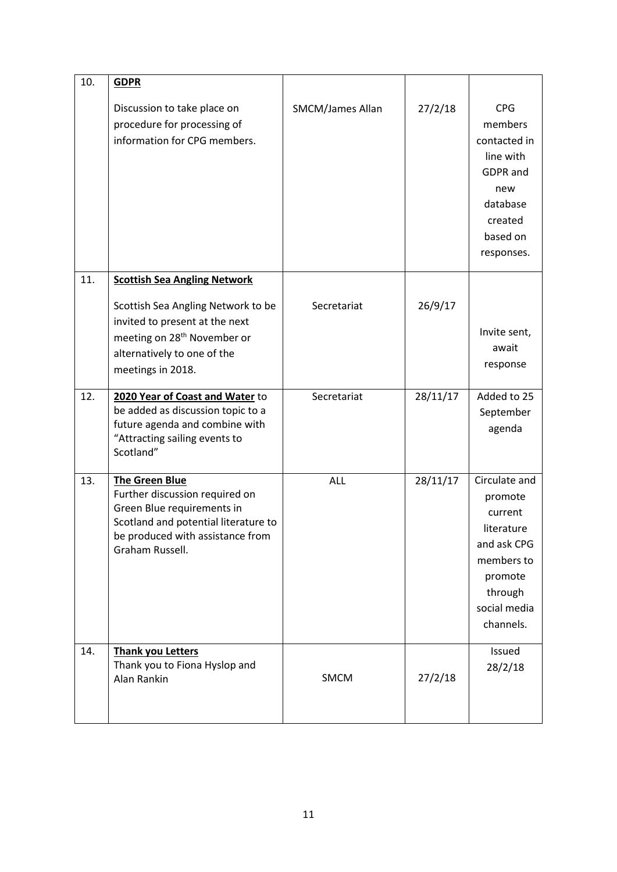| 10. | <b>GDPR</b>                                                                                                                                                                          |                         |          |                                                                                                                                   |
|-----|--------------------------------------------------------------------------------------------------------------------------------------------------------------------------------------|-------------------------|----------|-----------------------------------------------------------------------------------------------------------------------------------|
|     | Discussion to take place on<br>procedure for processing of<br>information for CPG members.                                                                                           | <b>SMCM/James Allan</b> | 27/2/18  | <b>CPG</b><br>members<br>contacted in<br>line with<br><b>GDPR</b> and<br>new<br>database<br>created<br>based on<br>responses.     |
| 11. | <b>Scottish Sea Angling Network</b>                                                                                                                                                  |                         |          |                                                                                                                                   |
|     | Scottish Sea Angling Network to be<br>invited to present at the next<br>meeting on 28 <sup>th</sup> November or<br>alternatively to one of the<br>meetings in 2018.                  | Secretariat             | 26/9/17  | Invite sent,<br>await<br>response                                                                                                 |
| 12. | 2020 Year of Coast and Water to<br>be added as discussion topic to a<br>future agenda and combine with<br>"Attracting sailing events to<br>Scotland"                                 | Secretariat             | 28/11/17 | Added to 25<br>September<br>agenda                                                                                                |
| 13. | <b>The Green Blue</b><br>Further discussion required on<br>Green Blue requirements in<br>Scotland and potential literature to<br>be produced with assistance from<br>Graham Russell. | <b>ALL</b>              | 28/11/17 | Circulate and<br>promote<br>current<br>literature<br>and ask CPG<br>members to<br>promote<br>through<br>social media<br>channels. |
| 14. | <b>Thank you Letters</b><br>Thank you to Fiona Hyslop and<br>Alan Rankin                                                                                                             | SMCM                    | 27/2/18  | Issued<br>28/2/18                                                                                                                 |